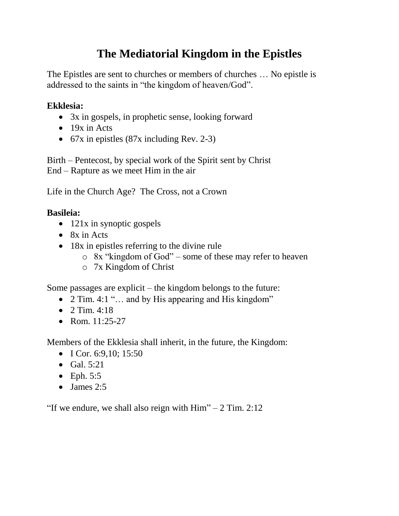# **The Mediatorial Kingdom in the Epistles**

The Epistles are sent to churches or members of churches … No epistle is addressed to the saints in "the kingdom of heaven/God".

### **Ekklesia:**

- 3x in gospels, in prophetic sense, looking forward
- $\bullet$  19x in Acts
- 67x in epistles (87x including Rev. 2-3)

Birth – Pentecost, by special work of the Spirit sent by Christ End – Rapture as we meet Him in the air

Life in the Church Age? The Cross, not a Crown

## **Basileia:**

- 121x in synoptic gospels
- $\bullet$  8x in Acts
- 18x in epistles referring to the divine rule
	- o 8x "kingdom of God" some of these may refer to heaven
	- o 7x Kingdom of Christ

Some passages are explicit – the kingdom belongs to the future:

- 2 Tim. 4:1 "... and by His appearing and His kingdom"
- 2 Tim.  $4:18$
- Rom.  $11:25-27$

Members of the Ekklesia shall inherit, in the future, the Kingdom:

- $\bullet$  I Cor. 6:9,10; 15:50
- $\bullet$  Gal. 5:21
- $\bullet$  Eph. 5:5
- $\bullet$  James 2:5

"If we endure, we shall also reign with  $\text{Him}$ " – 2 Tim. 2:12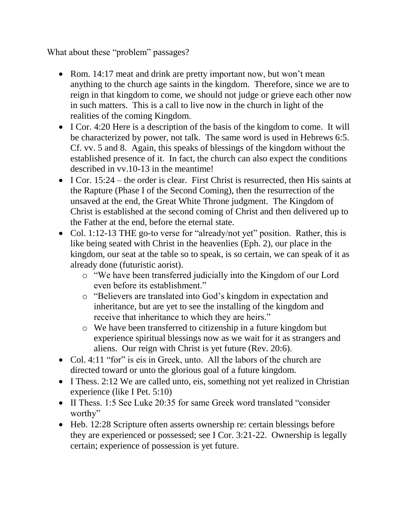What about these "problem" passages?

- Rom. 14:17 meat and drink are pretty important now, but won't mean anything to the church age saints in the kingdom. Therefore, since we are to reign in that kingdom to come, we should not judge or grieve each other now in such matters. This is a call to live now in the church in light of the realities of the coming Kingdom.
- I Cor. 4:20 Here is a description of the basis of the kingdom to come. It will be characterized by power, not talk. The same word is used in Hebrews 6:5. Cf. vv. 5 and 8. Again, this speaks of blessings of the kingdom without the established presence of it. In fact, the church can also expect the conditions described in vv.10-13 in the meantime!
- I Cor. 15:24 the order is clear. First Christ is resurrected, then His saints at the Rapture (Phase I of the Second Coming), then the resurrection of the unsaved at the end, the Great White Throne judgment. The Kingdom of Christ is established at the second coming of Christ and then delivered up to the Father at the end, before the eternal state.
- Col. 1:12-13 THE go-to verse for "already/not yet" position. Rather, this is like being seated with Christ in the heavenlies (Eph. 2), our place in the kingdom, our seat at the table so to speak, is so certain, we can speak of it as already done (futuristic aorist).
	- o "We have been transferred judicially into the Kingdom of our Lord even before its establishment."
	- o "Believers are translated into God's kingdom in expectation and inheritance, but are yet to see the installing of the kingdom and receive that inheritance to which they are heirs."
	- o We have been transferred to citizenship in a future kingdom but experience spiritual blessings now as we wait for it as strangers and aliens. Our reign with Christ is yet future (Rev. 20:6).
- Col. 4:11 "for" is eis in Greek, unto. All the labors of the church are directed toward or unto the glorious goal of a future kingdom.
- I Thess, 2:12 We are called unto, eis, something not yet realized in Christian experience (like I Pet. 5:10)
- II Thess. 1:5 See Luke 20:35 for same Greek word translated "consider worthy"
- Heb. 12:28 Scripture often asserts ownership re: certain blessings before they are experienced or possessed; see I Cor. 3:21-22. Ownership is legally certain; experience of possession is yet future.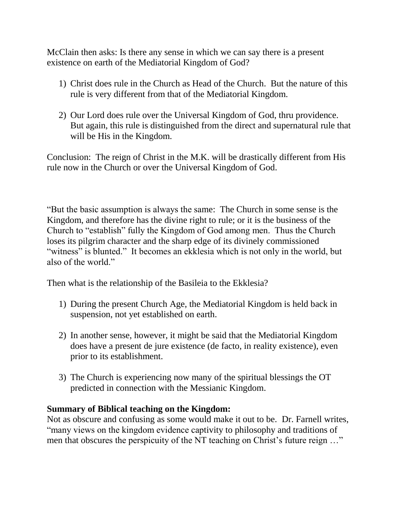McClain then asks: Is there any sense in which we can say there is a present existence on earth of the Mediatorial Kingdom of God?

- 1) Christ does rule in the Church as Head of the Church. But the nature of this rule is very different from that of the Mediatorial Kingdom.
- 2) Our Lord does rule over the Universal Kingdom of God, thru providence. But again, this rule is distinguished from the direct and supernatural rule that will be His in the Kingdom.

Conclusion: The reign of Christ in the M.K. will be drastically different from His rule now in the Church or over the Universal Kingdom of God.

"But the basic assumption is always the same: The Church in some sense is the Kingdom, and therefore has the divine right to rule; or it is the business of the Church to "establish" fully the Kingdom of God among men. Thus the Church loses its pilgrim character and the sharp edge of its divinely commissioned "witness" is blunted." It becomes an ekklesia which is not only in the world, but also of the world."

Then what is the relationship of the Basileia to the Ekklesia?

- 1) During the present Church Age, the Mediatorial Kingdom is held back in suspension, not yet established on earth.
- 2) In another sense, however, it might be said that the Mediatorial Kingdom does have a present de jure existence (de facto, in reality existence), even prior to its establishment.
- 3) The Church is experiencing now many of the spiritual blessings the OT predicted in connection with the Messianic Kingdom.

#### **Summary of Biblical teaching on the Kingdom:**

Not as obscure and confusing as some would make it out to be. Dr. Farnell writes, "many views on the kingdom evidence captivity to philosophy and traditions of men that obscures the perspicuity of the NT teaching on Christ's future reign ..."